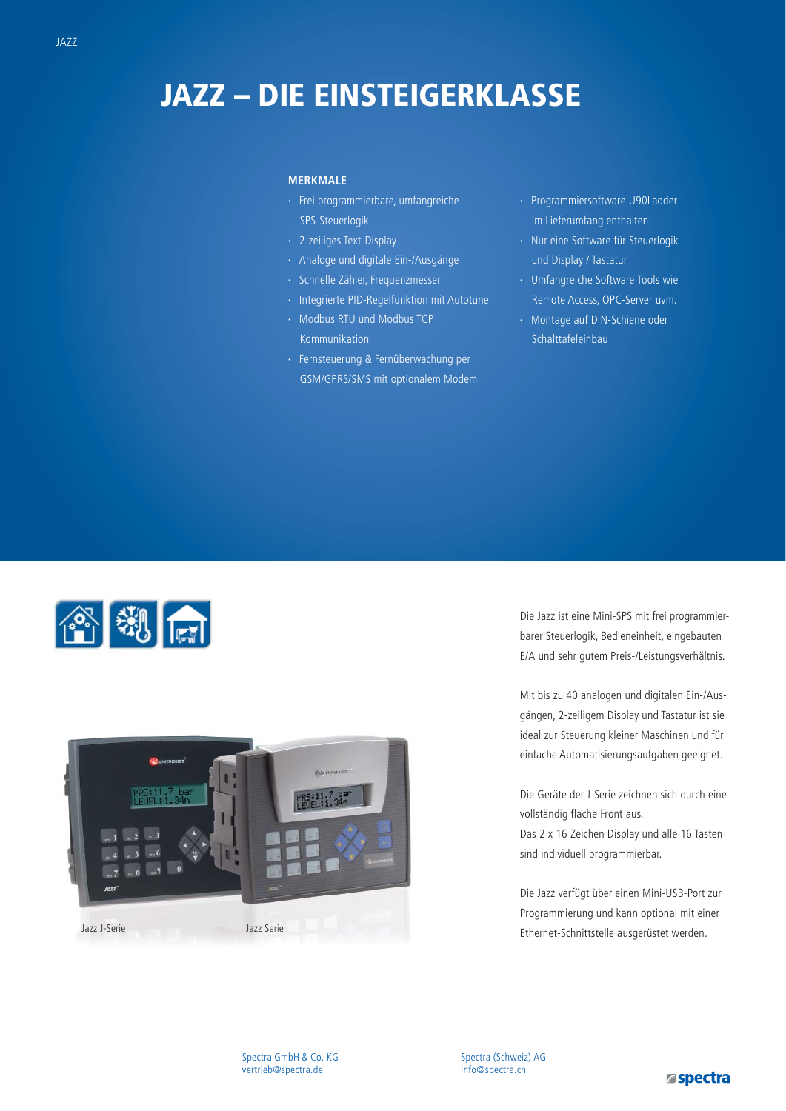# **JAZZ – DIE EINSTEIGERKLASSE**

#### **MERKMALE**

- **·** Frei programmierbare, umfangreiche SPS-Steuerlogik
- **·** 2-zeiliges Text-Display
- **·** Analoge und digitale Ein-/Ausgänge
- **·** Schnelle Zähler, Frequenzmesser
- **·** Integrierte PID-Regelfunktion mit Autotune
- **·** Modbus RTU und Modbus TCP Kommunikation
- **·** Fernsteuerung & Fernüberwachung per GSM/GPRS/SMS mit optionalem Modem
- **·** Programmiersoftware U90Ladder im Lieferumfang enthalten
- **·** Nur eine Software für Steuerlogik und Display / Tastatur
- **·** Umfangreiche Software Tools wie Remote Access, OPC-Server uvm.
- 
- **·** Montage auf DIN-Schiene oder Schalttafeleinbau

合划点



Die Jazz ist eine Mini-SPS mit frei programmierbarer Steuerlogik, Bedieneinheit, eingebauten E/A und sehr gutem Preis-/Leistungsverhältnis.

Mit bis zu 40 analogen und digitalen Ein-/Ausgängen, 2-zeiligem Display und Tastatur ist sie ideal zur Steuerung kleiner Maschinen und für einfache Automatisierungsaufgaben geeignet.

Die Geräte der J-Serie zeichnen sich durch eine vollständig flache Front aus.

Das 2 x 16 Zeichen Display und alle 16 Tasten sind individuell programmierbar.

Die Jazz verfügt über einen Mini-USB-Port zur Programmierung und kann optional mit einer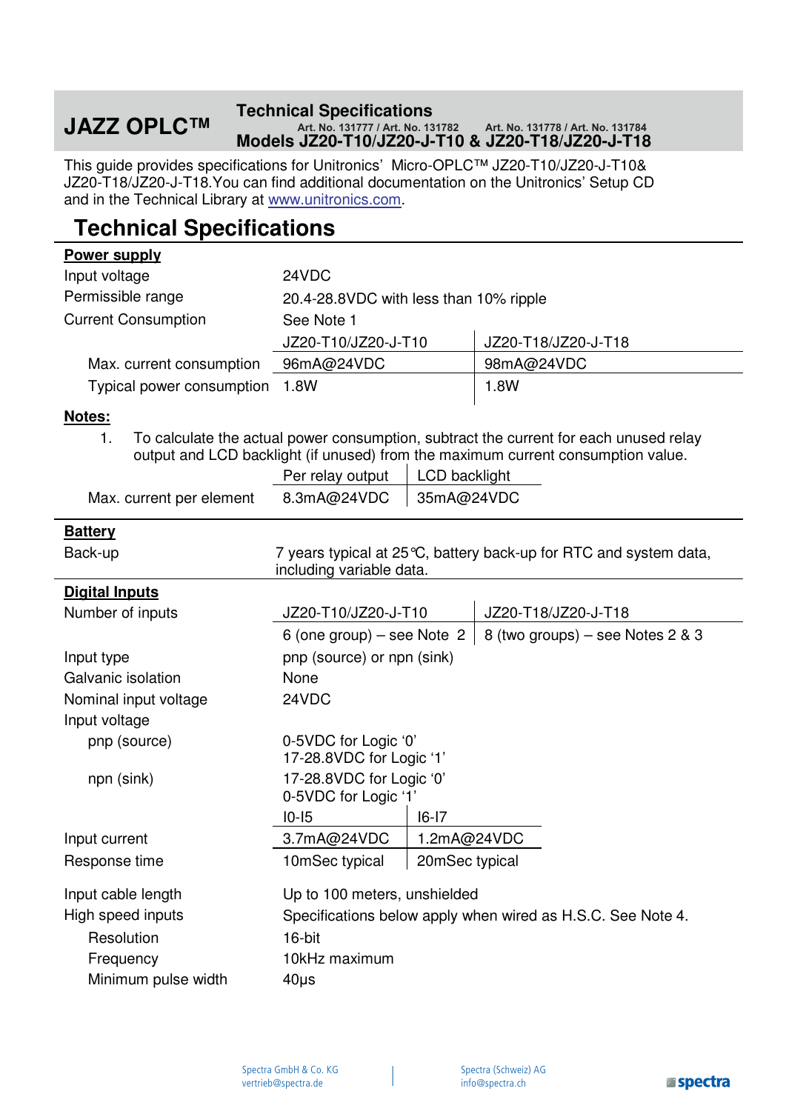#### **JAZZ OPLC<sup>TM</sup> Technical Specifications Models JZ20-T10/JZ20-J-T10 & JZ20-T18/JZ20-J-T18 Art. No. 131777 / Art. No. 131782 Art. No. 131778 / Art. No. 131784**

This guide provides specifications for Unitronics' Micro-OPLC™ JZ20-T10/JZ20-J-T10& JZ20-T18/JZ20-J-T18.You can find additional documentation on the Unitronics' Setup CD and in the Technical Library at www.unitronics.com.

## **Technical Specifications**

### **Power supply**  Input voltage 24VDC Permissible range 20.4-28.8VDC with less than 10% ripple Current Consumption See Note 1 JZ20-T10/JZ20-J-T10 JZ20-T18/JZ20-J-T18 Max. current consumption 96mA@24VDC | 98mA@24VDC Typical power consumption 1.8W 1.8W

#### **Notes:**

1. To calculate the actual power consumption, subtract the current for each unused relay output and LCD backlight (if unused) from the maximum current consumption value.

|                          | Per relay output   LCD backlight |  |
|--------------------------|----------------------------------|--|
| Max. current per element | 8.3mA@24VDC   35mA@24VDC         |  |

#### **Battery**

| Back-up               | 7 years typical at 25 °C, battery back-up for RTC and system data,<br>including variable data. |                |                                  |
|-----------------------|------------------------------------------------------------------------------------------------|----------------|----------------------------------|
| <b>Digital Inputs</b> |                                                                                                |                |                                  |
| Number of inputs      | JZ20-T10/JZ20-J-T10                                                                            |                | JZ20-T18/JZ20-J-T18              |
|                       | 6 (one group) – see Note $2 \mid$                                                              |                | 8 (two groups) – see Notes 2 & 3 |
| Input type            | pnp (source) or npn (sink)                                                                     |                |                                  |
| Galvanic isolation    | None                                                                                           |                |                                  |
| Nominal input voltage | 24VDC                                                                                          |                |                                  |
| Input voltage         |                                                                                                |                |                                  |
| pnp (source)          | 0-5VDC for Logic '0'<br>17-28.8VDC for Logic '1'                                               |                |                                  |
| npn (sink)            | 17-28.8VDC for Logic '0'<br>0-5VDC for Logic '1'                                               |                |                                  |
|                       | $IO-I5$                                                                                        | $16-17$        |                                  |
| Input current         | 3.7mA@24VDC                                                                                    | 1.2mA@24VDC    |                                  |
| Response time         | 10mSec typical                                                                                 | 20mSec typical |                                  |
| Input cable length    | Up to 100 meters, unshielded                                                                   |                |                                  |
| High speed inputs     | Specifications below apply when wired as H.S.C. See Note 4.                                    |                |                                  |
| Resolution            | 16-bit                                                                                         |                |                                  |
| Frequency             | 10kHz maximum                                                                                  |                |                                  |
| Minimum pulse width   | $40\mu$ s                                                                                      |                |                                  |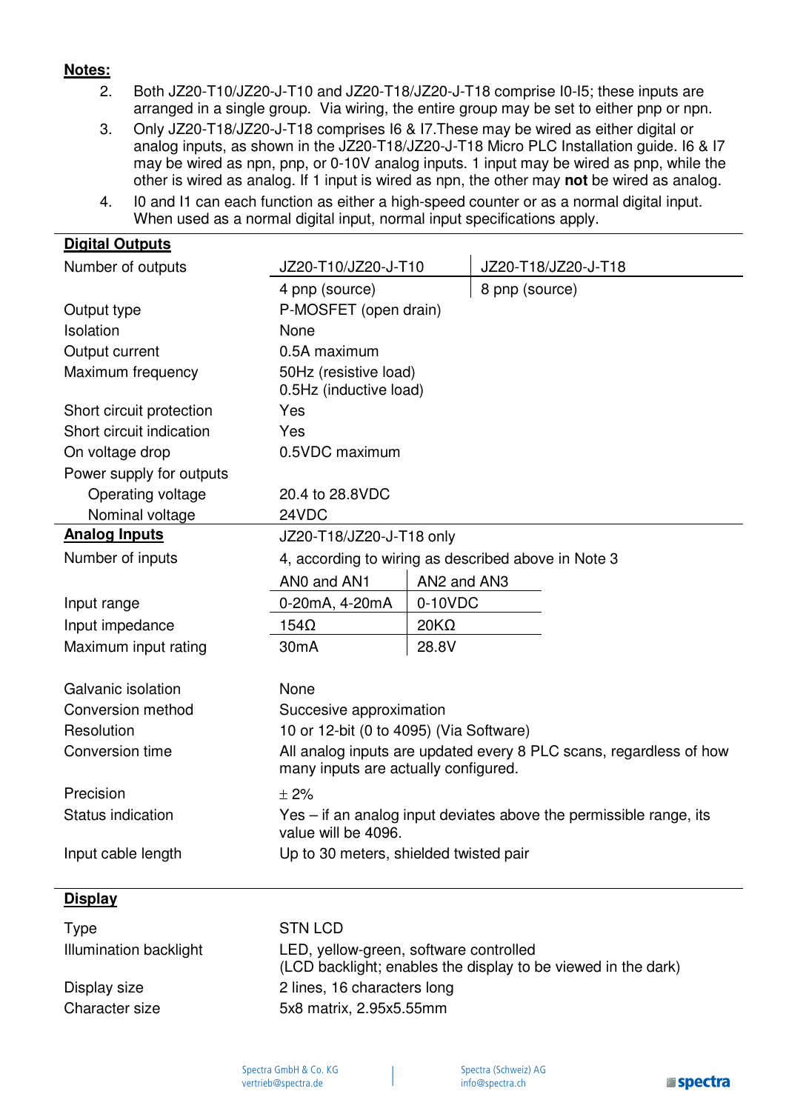#### **Notes:**

- 2. Both JZ20-T10/JZ20-J-T10 and JZ20-T18/JZ20-J-T18 comprise I0-I5; these inputs are arranged in a single group. Via wiring, the entire group may be set to either pnp or npn.
- 3. Only JZ20-T18/JZ20-J-T18 comprises I6 & I7.These may be wired as either digital or analog inputs, as shown in the JZ20-T18/JZ20-J-T18 Micro PLC Installation guide. I6 & I7 may be wired as npn, pnp, or 0-10V analog inputs. 1 input may be wired as pnp, while the other is wired as analog. If 1 input is wired as npn, the other may **not** be wired as analog.
- 4. I0 and I1 can each function as either a high-speed counter or as a normal digital input. When used as a normal digital input, normal input specifications apply.

| <b>Digital Outputs</b>   |                                                                                                            |             |                     |
|--------------------------|------------------------------------------------------------------------------------------------------------|-------------|---------------------|
| Number of outputs        | JZ20-T10/JZ20-J-T10                                                                                        |             | JZ20-T18/JZ20-J-T18 |
|                          | 4 pnp (source)                                                                                             |             | 8 pnp (source)      |
| Output type              | P-MOSFET (open drain)                                                                                      |             |                     |
| Isolation                | None                                                                                                       |             |                     |
| Output current           | 0.5A maximum                                                                                               |             |                     |
| Maximum frequency        | 50Hz (resistive load)<br>0.5Hz (inductive load)                                                            |             |                     |
| Short circuit protection | Yes                                                                                                        |             |                     |
| Short circuit indication | Yes                                                                                                        |             |                     |
| On voltage drop          | 0.5VDC maximum                                                                                             |             |                     |
| Power supply for outputs |                                                                                                            |             |                     |
| Operating voltage        | 20.4 to 28.8VDC                                                                                            |             |                     |
| Nominal voltage          | 24VDC                                                                                                      |             |                     |
| <b>Analog Inputs</b>     | JZ20-T18/JZ20-J-T18 only                                                                                   |             |                     |
| Number of inputs         | 4, according to wiring as described above in Note 3                                                        |             |                     |
|                          | ANO and AN1                                                                                                | AN2 and AN3 |                     |
| Input range              | 0-20mA, 4-20mA                                                                                             | 0-10VDC     |                     |
| Input impedance          | $154\Omega$                                                                                                | $20K\Omega$ |                     |
| Maximum input rating     | 30 <sub>m</sub> A                                                                                          | 28.8V       |                     |
| Galvanic isolation       | None                                                                                                       |             |                     |
| Conversion method        | Succesive approximation                                                                                    |             |                     |
| Resolution               | 10 or 12-bit (0 to 4095) (Via Software)                                                                    |             |                     |
| Conversion time          | All analog inputs are updated every 8 PLC scans, regardless of how<br>many inputs are actually configured. |             |                     |
| Precision                | $\pm 2\%$                                                                                                  |             |                     |
| Status indication        | Yes – if an analog input deviates above the permissible range, its<br>value will be 4096.                  |             |                     |
| Input cable length       | Up to 30 meters, shielded twisted pair                                                                     |             |                     |
|                          |                                                                                                            |             |                     |

#### **Display**

| <b>Type</b>            |  |
|------------------------|--|
| Illumination backlight |  |

#### STN LCD

LED, yellow-green, software controlled (LCD backlight; enables the display to be viewed in the dark) Display size 2 lines, 16 characters long Character size 5x8 matrix, 2.95x5.55mm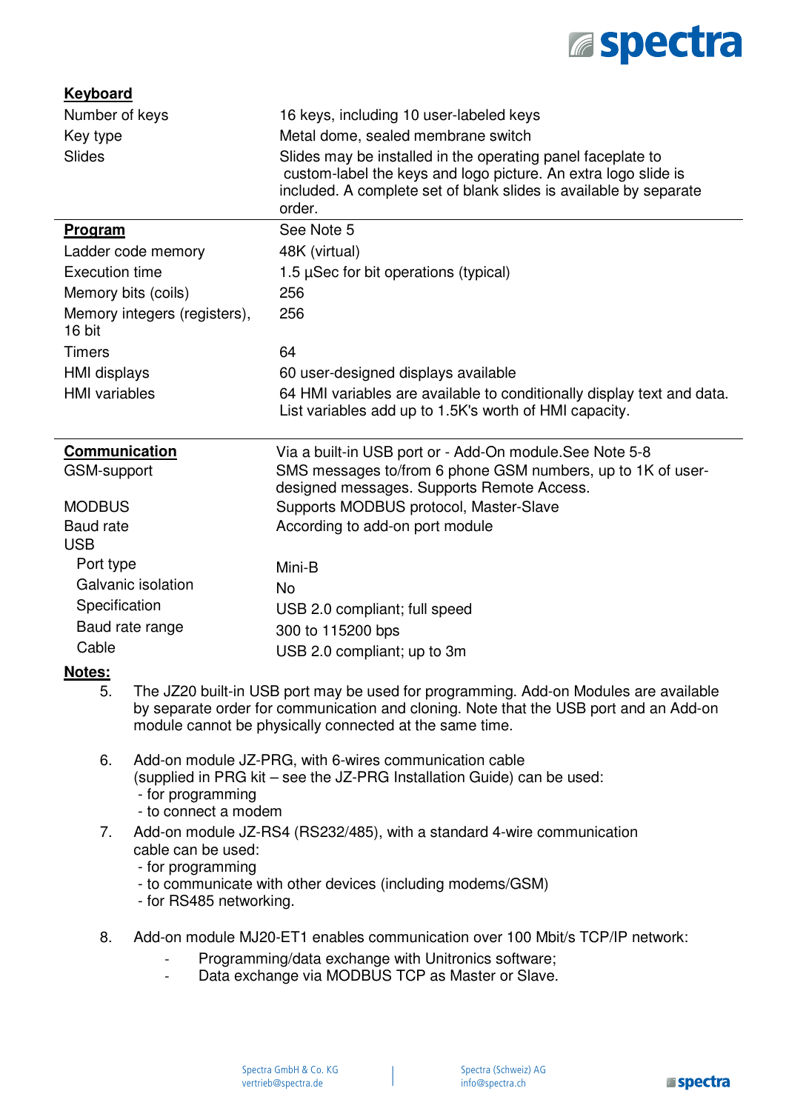

L

| <b>Keyboard</b>                     |                                                                                                                                                                                                            |                                                                                                                                                                                                                                          |  |
|-------------------------------------|------------------------------------------------------------------------------------------------------------------------------------------------------------------------------------------------------------|------------------------------------------------------------------------------------------------------------------------------------------------------------------------------------------------------------------------------------------|--|
| Number of keys                      |                                                                                                                                                                                                            | 16 keys, including 10 user-labeled keys                                                                                                                                                                                                  |  |
| Key type                            |                                                                                                                                                                                                            | Metal dome, sealed membrane switch                                                                                                                                                                                                       |  |
| <b>Slides</b>                       |                                                                                                                                                                                                            | Slides may be installed in the operating panel faceplate to<br>custom-label the keys and logo picture. An extra logo slide is<br>included. A complete set of blank slides is available by separate<br>order.                             |  |
| <b>Program</b>                      |                                                                                                                                                                                                            | See Note 5                                                                                                                                                                                                                               |  |
|                                     | Ladder code memory                                                                                                                                                                                         | 48K (virtual)                                                                                                                                                                                                                            |  |
| <b>Execution time</b>               |                                                                                                                                                                                                            | 1.5 $\mu$ Sec for bit operations (typical)                                                                                                                                                                                               |  |
|                                     | Memory bits (coils)                                                                                                                                                                                        | 256                                                                                                                                                                                                                                      |  |
| 16 bit                              | Memory integers (registers),                                                                                                                                                                               | 256                                                                                                                                                                                                                                      |  |
| <b>Timers</b>                       |                                                                                                                                                                                                            | 64                                                                                                                                                                                                                                       |  |
| <b>HMI</b> displays                 |                                                                                                                                                                                                            | 60 user-designed displays available                                                                                                                                                                                                      |  |
| <b>HMI</b> variables                |                                                                                                                                                                                                            | 64 HMI variables are available to conditionally display text and data.<br>List variables add up to 1.5K's worth of HMI capacity.                                                                                                         |  |
| <b>Communication</b><br>GSM-support |                                                                                                                                                                                                            | Via a built-in USB port or - Add-On module.See Note 5-8<br>SMS messages to/from 6 phone GSM numbers, up to 1K of user-<br>designed messages. Supports Remote Access.                                                                     |  |
| <b>MODBUS</b>                       |                                                                                                                                                                                                            | Supports MODBUS protocol, Master-Slave                                                                                                                                                                                                   |  |
| <b>Baud rate</b>                    |                                                                                                                                                                                                            | According to add-on port module                                                                                                                                                                                                          |  |
| <b>USB</b>                          |                                                                                                                                                                                                            |                                                                                                                                                                                                                                          |  |
| Port type                           |                                                                                                                                                                                                            | Mini-B                                                                                                                                                                                                                                   |  |
|                                     | Galvanic isolation                                                                                                                                                                                         | <b>No</b>                                                                                                                                                                                                                                |  |
| Specification                       |                                                                                                                                                                                                            | USB 2.0 compliant; full speed                                                                                                                                                                                                            |  |
|                                     | Baud rate range                                                                                                                                                                                            | 300 to 115200 bps                                                                                                                                                                                                                        |  |
| Cable                               |                                                                                                                                                                                                            | USB 2.0 compliant; up to 3m                                                                                                                                                                                                              |  |
| Notes:                              |                                                                                                                                                                                                            |                                                                                                                                                                                                                                          |  |
| 5.                                  |                                                                                                                                                                                                            | The JZ20 built-in USB port may be used for programming. Add-on Modules are available<br>by separate order for communication and cloning. Note that the USB port and an Add-on<br>module cannot be physically connected at the same time. |  |
| 6.                                  | Add-on module JZ-PRG, with 6-wires communication cable<br>(supplied in PRG kit – see the JZ-PRG Installation Guide) can be used:<br>- for programming<br>- to connect a modem                              |                                                                                                                                                                                                                                          |  |
| 7.                                  | Add-on module JZ-RS4 (RS232/485), with a standard 4-wire communication<br>cable can be used:<br>- for programming<br>- to communicate with other devices (including modems/GSM)<br>- for RS485 networking. |                                                                                                                                                                                                                                          |  |
| 8.                                  | Add-on module MJ20-ET1 enables communication over 100 Mbit/s TCP/IP network:<br>Programming/data exchange with Unitronics software;<br>Data exchange via MODBUS TCP as Master or Slave.                    |                                                                                                                                                                                                                                          |  |